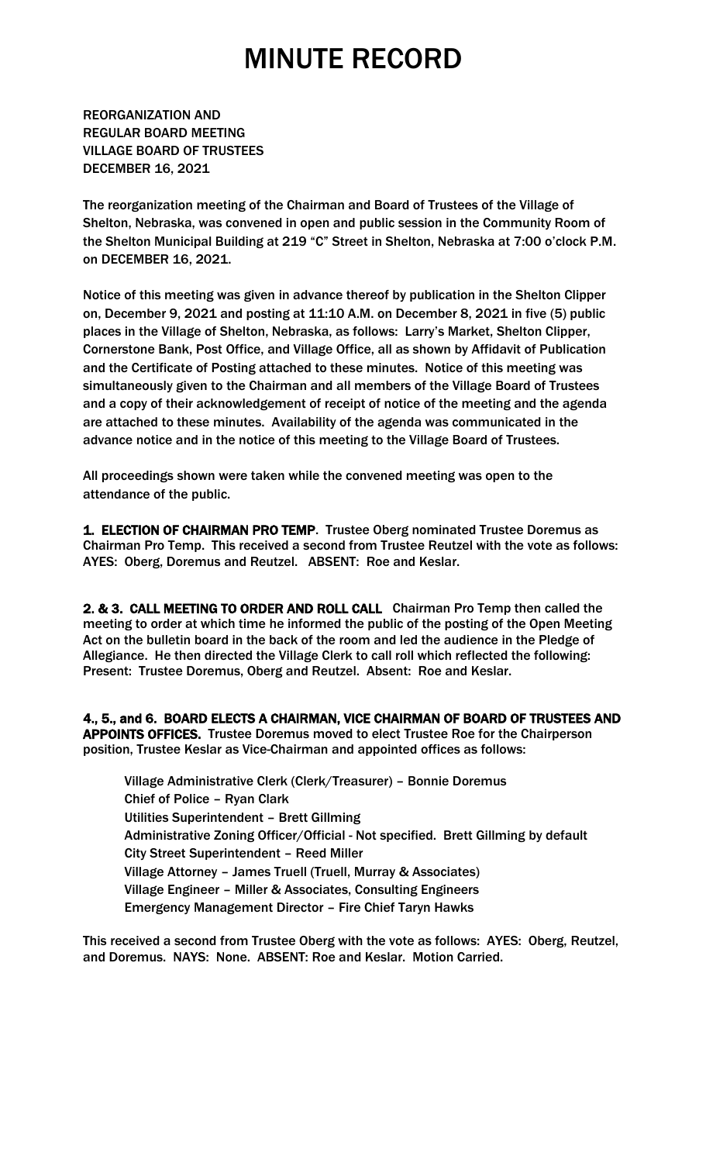REORGANIZATION AND REGULAR BOARD MEETING VILLAGE BOARD OF TRUSTEES DECEMBER 16, 2021

The reorganization meeting of the Chairman and Board of Trustees of the Village of Shelton, Nebraska, was convened in open and public session in the Community Room of the Shelton Municipal Building at 219 "C" Street in Shelton, Nebraska at 7:00 o'clock P.M. on DECEMBER 16, 2021.

Notice of this meeting was given in advance thereof by publication in the Shelton Clipper on, December 9, 2021 and posting at 11:10 A.M. on December 8, 2021 in five (5) public places in the Village of Shelton, Nebraska, as follows: Larry's Market, Shelton Clipper, Cornerstone Bank, Post Office, and Village Office, all as shown by Affidavit of Publication and the Certificate of Posting attached to these minutes. Notice of this meeting was simultaneously given to the Chairman and all members of the Village Board of Trustees and a copy of their acknowledgement of receipt of notice of the meeting and the agenda are attached to these minutes. Availability of the agenda was communicated in the advance notice and in the notice of this meeting to the Village Board of Trustees.

All proceedings shown were taken while the convened meeting was open to the attendance of the public.

1. ELECTION OF CHAIRMAN PRO TEMP. Trustee Oberg nominated Trustee Doremus as Chairman Pro Temp. This received a second from Trustee Reutzel with the vote as follows: AYES: Oberg, Doremus and Reutzel. ABSENT: Roe and Keslar.

2. & 3. CALL MEETING TO ORDER AND ROLL CALL Chairman Pro Temp then called the meeting to order at which time he informed the public of the posting of the Open Meeting Act on the bulletin board in the back of the room and led the audience in the Pledge of Allegiance. He then directed the Village Clerk to call roll which reflected the following: Present: Trustee Doremus, Oberg and Reutzel. Absent: Roe and Keslar.

4., 5., and 6. BOARD ELECTS A CHAIRMAN, VICE CHAIRMAN OF BOARD OF TRUSTEES AND APPOINTS OFFICES. Trustee Doremus moved to elect Trustee Roe for the Chairperson position, Trustee Keslar as Vice-Chairman and appointed offices as follows:

 Village Administrative Clerk (Clerk/Treasurer) – Bonnie Doremus Chief of Police – Ryan Clark Utilities Superintendent – Brett Gillming Administrative Zoning Officer/Official - Not specified. Brett Gillming by default City Street Superintendent – Reed Miller Village Attorney – James Truell (Truell, Murray & Associates) Village Engineer – Miller & Associates, Consulting Engineers Emergency Management Director – Fire Chief Taryn Hawks

This received a second from Trustee Oberg with the vote as follows: AYES: Oberg, Reutzel, and Doremus. NAYS: None. ABSENT: Roe and Keslar. Motion Carried.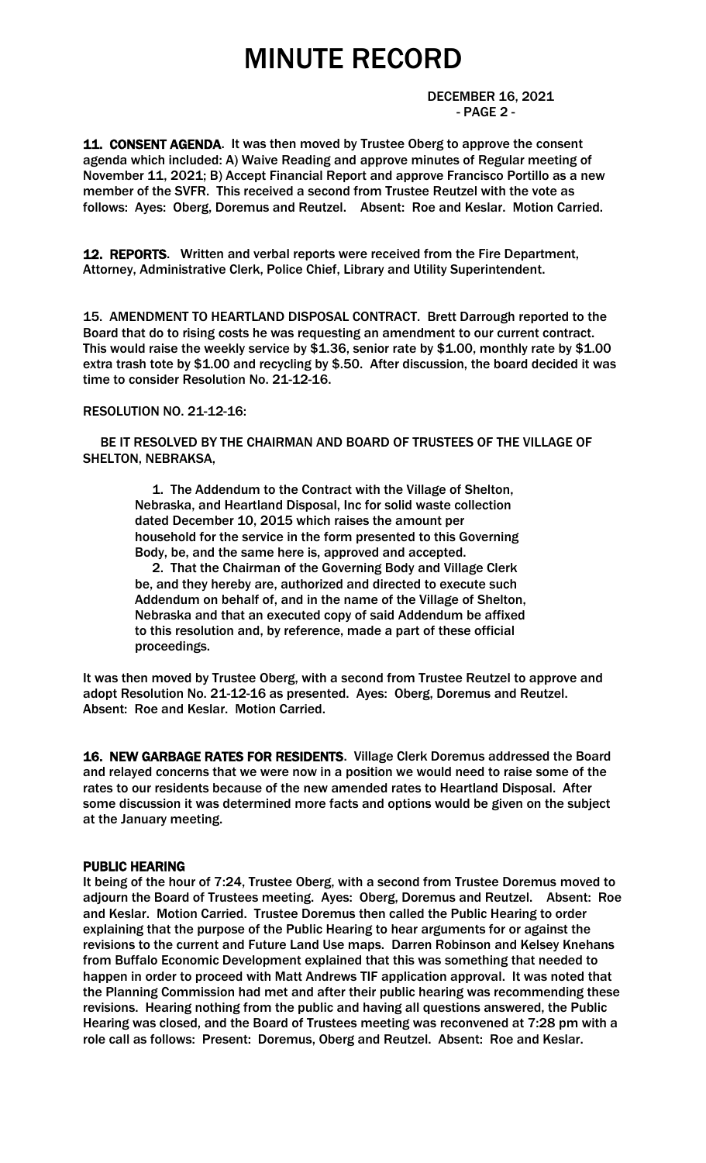DECEMBER 16, 2021 - PAGE 2 -

11. CONSENT AGENDA. It was then moved by Trustee Oberg to approve the consent agenda which included: A) Waive Reading and approve minutes of Regular meeting of November 11, 2021; B) Accept Financial Report and approve Francisco Portillo as a new member of the SVFR. This received a second from Trustee Reutzel with the vote as follows: Ayes: Oberg, Doremus and Reutzel. Absent: Roe and Keslar. Motion Carried.

12. REPORTS. Written and verbal reports were received from the Fire Department, Attorney, Administrative Clerk, Police Chief, Library and Utility Superintendent.

15. AMENDMENT TO HEARTLAND DISPOSAL CONTRACT. Brett Darrough reported to the Board that do to rising costs he was requesting an amendment to our current contract. This would raise the weekly service by \$1.36, senior rate by \$1.00, monthly rate by \$1.00 extra trash tote by \$1.00 and recycling by \$.50. After discussion, the board decided it was time to consider Resolution No. 21-12-16.

#### RESOLUTION NO. 21-12-16:

 BE IT RESOLVED BY THE CHAIRMAN AND BOARD OF TRUSTEES OF THE VILLAGE OF SHELTON, NEBRAKSA,

> 1. The Addendum to the Contract with the Village of Shelton, Nebraska, and Heartland Disposal, Inc for solid waste collection dated December 10, 2015 which raises the amount per household for the service in the form presented to this Governing Body, be, and the same here is, approved and accepted.

 2. That the Chairman of the Governing Body and Village Clerk be, and they hereby are, authorized and directed to execute such Addendum on behalf of, and in the name of the Village of Shelton, Nebraska and that an executed copy of said Addendum be affixed to this resolution and, by reference, made a part of these official proceedings.

It was then moved by Trustee Oberg, with a second from Trustee Reutzel to approve and adopt Resolution No. 21-12-16 as presented. Ayes: Oberg, Doremus and Reutzel. Absent: Roe and Keslar. Motion Carried.

16. NEW GARBAGE RATES FOR RESIDENTS. Village Clerk Doremus addressed the Board and relayed concerns that we were now in a position we would need to raise some of the rates to our residents because of the new amended rates to Heartland Disposal. After some discussion it was determined more facts and options would be given on the subject at the January meeting.

#### PUBLIC HEARING

It being of the hour of 7:24, Trustee Oberg, with a second from Trustee Doremus moved to adjourn the Board of Trustees meeting. Ayes: Oberg, Doremus and Reutzel. Absent: Roe and Keslar. Motion Carried. Trustee Doremus then called the Public Hearing to order explaining that the purpose of the Public Hearing to hear arguments for or against the revisions to the current and Future Land Use maps. Darren Robinson and Kelsey Knehans from Buffalo Economic Development explained that this was something that needed to happen in order to proceed with Matt Andrews TIF application approval. It was noted that the Planning Commission had met and after their public hearing was recommending these revisions. Hearing nothing from the public and having all questions answered, the Public Hearing was closed, and the Board of Trustees meeting was reconvened at 7:28 pm with a role call as follows: Present: Doremus, Oberg and Reutzel. Absent: Roe and Keslar.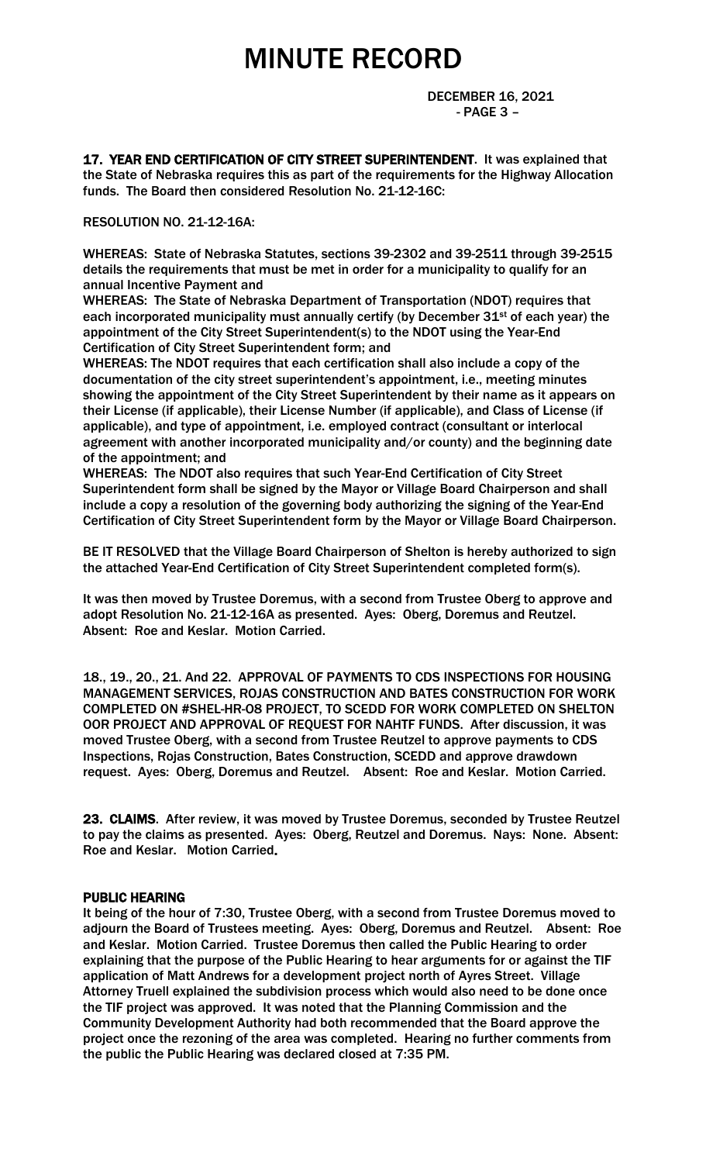DECEMBER 16, 2021 - PAGE 3 –

17. YEAR END CERTIFICATION OF CITY STREET SUPERINTENDENT. It was explained that the State of Nebraska requires this as part of the requirements for the Highway Allocation funds. The Board then considered Resolution No. 21-12-16C:

#### RESOLUTION NO. 21-12-16A:

WHEREAS: State of Nebraska Statutes, sections 39-2302 and 39-2511 through 39-2515 details the requirements that must be met in order for a municipality to qualify for an annual Incentive Payment and

WHEREAS: The State of Nebraska Department of Transportation (NDOT) requires that each incorporated municipality must annually certify (by December  $31^{st}$  of each year) the appointment of the City Street Superintendent(s) to the NDOT using the Year-End Certification of City Street Superintendent form; and

WHEREAS: The NDOT requires that each certification shall also include a copy of the documentation of the city street superintendent's appointment, i.e., meeting minutes showing the appointment of the City Street Superintendent by their name as it appears on their License (if applicable), their License Number (if applicable), and Class of License (if applicable), and type of appointment, i.e. employed contract (consultant or interlocal agreement with another incorporated municipality and/or county) and the beginning date of the appointment; and

WHEREAS: The NDOT also requires that such Year-End Certification of City Street Superintendent form shall be signed by the Mayor or Village Board Chairperson and shall include a copy a resolution of the governing body authorizing the signing of the Year-End Certification of City Street Superintendent form by the Mayor or Village Board Chairperson.

BE IT RESOLVED that the Village Board Chairperson of Shelton is hereby authorized to sign the attached Year-End Certification of City Street Superintendent completed form(s).

It was then moved by Trustee Doremus, with a second from Trustee Oberg to approve and adopt Resolution No. 21-12-16A as presented. Ayes: Oberg, Doremus and Reutzel. Absent: Roe and Keslar. Motion Carried.

18., 19., 20., 21. And 22. APPROVAL OF PAYMENTS TO CDS INSPECTIONS FOR HOUSING MANAGEMENT SERVICES, ROJAS CONSTRUCTION AND BATES CONSTRUCTION FOR WORK COMPLETED ON #SHEL-HR-O8 PROJECT, TO SCEDD FOR WORK COMPLETED ON SHELTON OOR PROJECT AND APPROVAL OF REQUEST FOR NAHTF FUNDS. After discussion, it was moved Trustee Oberg, with a second from Trustee Reutzel to approve payments to CDS Inspections, Rojas Construction, Bates Construction, SCEDD and approve drawdown request. Ayes: Oberg, Doremus and Reutzel. Absent: Roe and Keslar. Motion Carried.

23. CLAIMS. After review, it was moved by Trustee Doremus, seconded by Trustee Reutzel to pay the claims as presented. Ayes: Oberg, Reutzel and Doremus. Nays: None. Absent: Roe and Keslar. Motion Carried.

#### PUBLIC HEARING

It being of the hour of 7:30, Trustee Oberg, with a second from Trustee Doremus moved to adjourn the Board of Trustees meeting. Ayes: Oberg, Doremus and Reutzel. Absent: Roe and Keslar. Motion Carried. Trustee Doremus then called the Public Hearing to order explaining that the purpose of the Public Hearing to hear arguments for or against the TIF application of Matt Andrews for a development project north of Ayres Street. Village Attorney Truell explained the subdivision process which would also need to be done once the TIF project was approved. It was noted that the Planning Commission and the Community Development Authority had both recommended that the Board approve the project once the rezoning of the area was completed. Hearing no further comments from the public the Public Hearing was declared closed at 7:35 PM.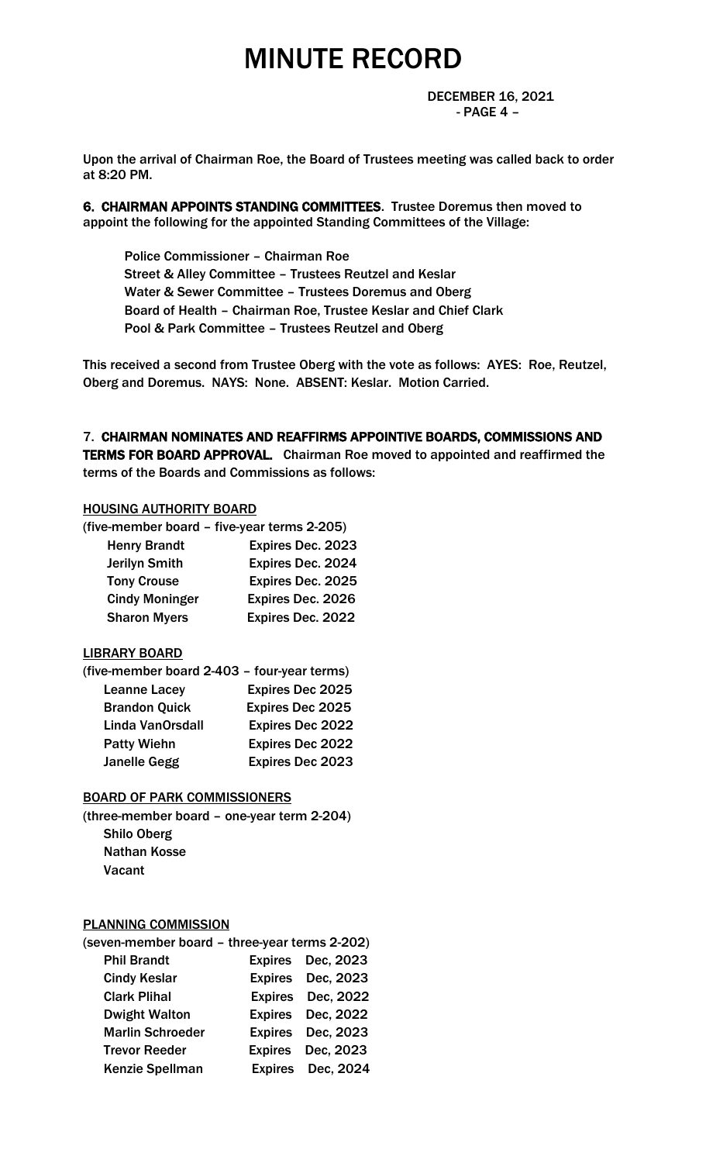DECEMBER 16, 2021 - PAGE 4 –

Upon the arrival of Chairman Roe, the Board of Trustees meeting was called back to order at 8:20 PM.

6. CHAIRMAN APPOINTS STANDING COMMITTEES. Trustee Doremus then moved to appoint the following for the appointed Standing Committees of the Village:

 Police Commissioner – Chairman Roe Street & Alley Committee – Trustees Reutzel and Keslar Water & Sewer Committee – Trustees Doremus and Oberg Board of Health – Chairman Roe, Trustee Keslar and Chief Clark Pool & Park Committee – Trustees Reutzel and Oberg

This received a second from Trustee Oberg with the vote as follows: AYES: Roe, Reutzel, Oberg and Doremus. NAYS: None. ABSENT: Keslar. Motion Carried.

7. CHAIRMAN NOMINATES AND REAFFIRMS APPOINTIVE BOARDS, COMMISSIONS AND TERMS FOR BOARD APPROVAL. Chairman Roe moved to appointed and reaffirmed the

terms of the Boards and Commissions as follows:

### HOUSING AUTHORITY BOARD

| (five-member board – five-year terms 2-205) |                          |  |
|---------------------------------------------|--------------------------|--|
| <b>Henry Brandt</b>                         | Expires Dec. 2023        |  |
| <b>Jerilyn Smith</b>                        | <b>Expires Dec. 2024</b> |  |
| <b>Tony Crouse</b>                          | Expires Dec. 2025        |  |
| <b>Cindy Moninger</b>                       | Expires Dec. 2026        |  |
| <b>Sharon Myers</b>                         | Expires Dec. 2022        |  |
|                                             |                          |  |

### LIBRARY BOARD

| (five-member board 2-403 - four-year terms) |                         |  |
|---------------------------------------------|-------------------------|--|
| <b>Leanne Lacey</b>                         | <b>Expires Dec 2025</b> |  |
| <b>Brandon Quick</b>                        | <b>Expires Dec 2025</b> |  |
| Linda VanOrsdall                            | <b>Expires Dec 2022</b> |  |
| <b>Patty Wiehn</b>                          | <b>Expires Dec 2022</b> |  |
| <b>Janelle Gegg</b>                         | <b>Expires Dec 2023</b> |  |

### BOARD OF PARK COMMISSIONERS

(three-member board – one-year term 2-204) Shilo Oberg Nathan Kosse Vacant

### PLANNING COMMISSION

| (seven-member board - three-year terms 2-202) |                   |
|-----------------------------------------------|-------------------|
| <b>Phil Brandt</b>                            | Expires Dec, 2023 |
| <b>Cindy Keslar</b>                           | Expires Dec, 2023 |
| <b>Clark Plihal</b>                           | Expires Dec, 2022 |
| <b>Dwight Walton</b>                          | Expires Dec, 2022 |
| <b>Marlin Schroeder</b>                       | Expires Dec, 2023 |
| <b>Trevor Reeder</b>                          | Expires Dec, 2023 |
| <b>Kenzie Spellman</b>                        | Expires Dec, 2024 |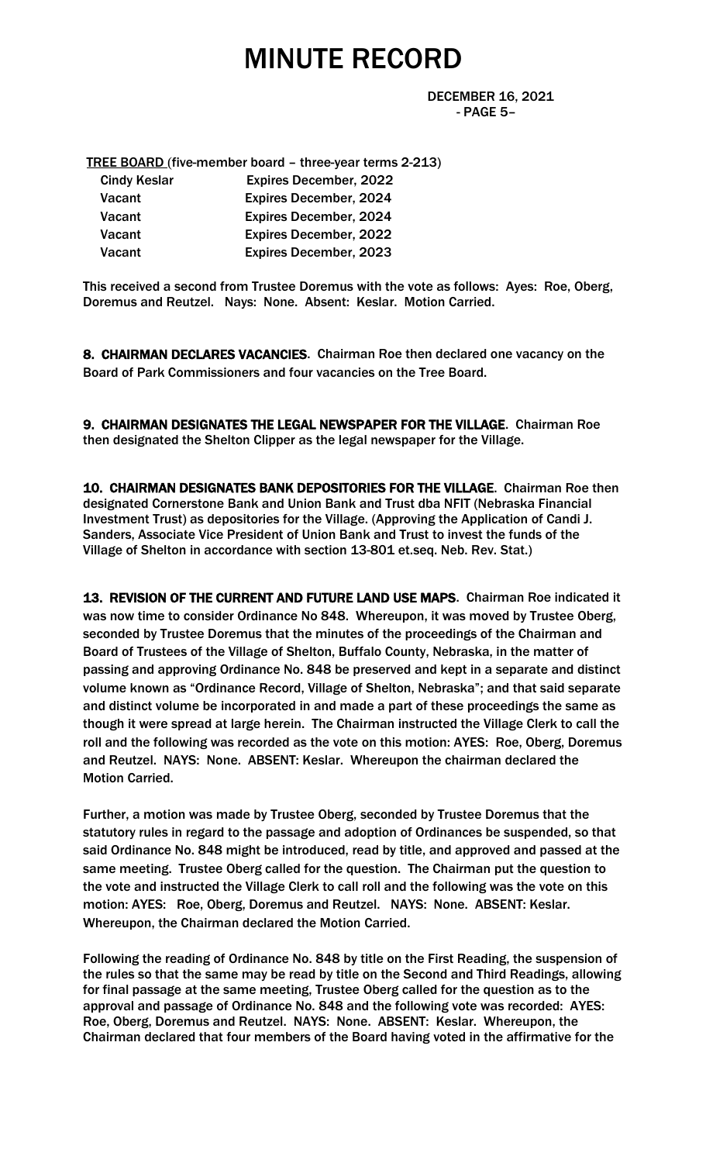DECEMBER 16, 2021 - PAGE 5–

TREE BOARD (five-member board – three-year terms 2-213)

| <b>Expires December, 2022</b> |
|-------------------------------|
| <b>Expires December, 2024</b> |
| <b>Expires December, 2024</b> |
| <b>Expires December, 2022</b> |
| <b>Expires December, 2023</b> |
|                               |

This received a second from Trustee Doremus with the vote as follows: Ayes: Roe, Oberg, Doremus and Reutzel. Nays: None. Absent: Keslar. Motion Carried.

8. CHAIRMAN DECLARES VACANCIES. Chairman Roe then declared one vacancy on the Board of Park Commissioners and four vacancies on the Tree Board.

9. CHAIRMAN DESIGNATES THE LEGAL NEWSPAPER FOR THE VILLAGE. Chairman Roe then designated the Shelton Clipper as the legal newspaper for the Village.

10. CHAIRMAN DESIGNATES BANK DEPOSITORIES FOR THE VILLAGE. Chairman Roe then designated Cornerstone Bank and Union Bank and Trust dba NFIT (Nebraska Financial Investment Trust) as depositories for the Village. (Approving the Application of Candi J. Sanders, Associate Vice President of Union Bank and Trust to invest the funds of the Village of Shelton in accordance with section 13-801 et.seq. Neb. Rev. Stat.)

13. REVISION OF THE CURRENT AND FUTURE LAND USE MAPS. Chairman Roe indicated it was now time to consider Ordinance No 848. Whereupon, it was moved by Trustee Oberg, seconded by Trustee Doremus that the minutes of the proceedings of the Chairman and Board of Trustees of the Village of Shelton, Buffalo County, Nebraska, in the matter of passing and approving Ordinance No. 848 be preserved and kept in a separate and distinct volume known as "Ordinance Record, Village of Shelton, Nebraska"; and that said separate and distinct volume be incorporated in and made a part of these proceedings the same as though it were spread at large herein. The Chairman instructed the Village Clerk to call the roll and the following was recorded as the vote on this motion: AYES: Roe, Oberg, Doremus and Reutzel. NAYS: None. ABSENT: Keslar. Whereupon the chairman declared the Motion Carried.

Further, a motion was made by Trustee Oberg, seconded by Trustee Doremus that the statutory rules in regard to the passage and adoption of Ordinances be suspended, so that said Ordinance No. 848 might be introduced, read by title, and approved and passed at the same meeting. Trustee Oberg called for the question. The Chairman put the question to the vote and instructed the Village Clerk to call roll and the following was the vote on this motion: AYES: Roe, Oberg, Doremus and Reutzel. NAYS: None. ABSENT: Keslar. Whereupon, the Chairman declared the Motion Carried.

Following the reading of Ordinance No. 848 by title on the First Reading, the suspension of the rules so that the same may be read by title on the Second and Third Readings, allowing for final passage at the same meeting, Trustee Oberg called for the question as to the approval and passage of Ordinance No. 848 and the following vote was recorded: AYES: Roe, Oberg, Doremus and Reutzel. NAYS: None. ABSENT: Keslar. Whereupon, the Chairman declared that four members of the Board having voted in the affirmative for the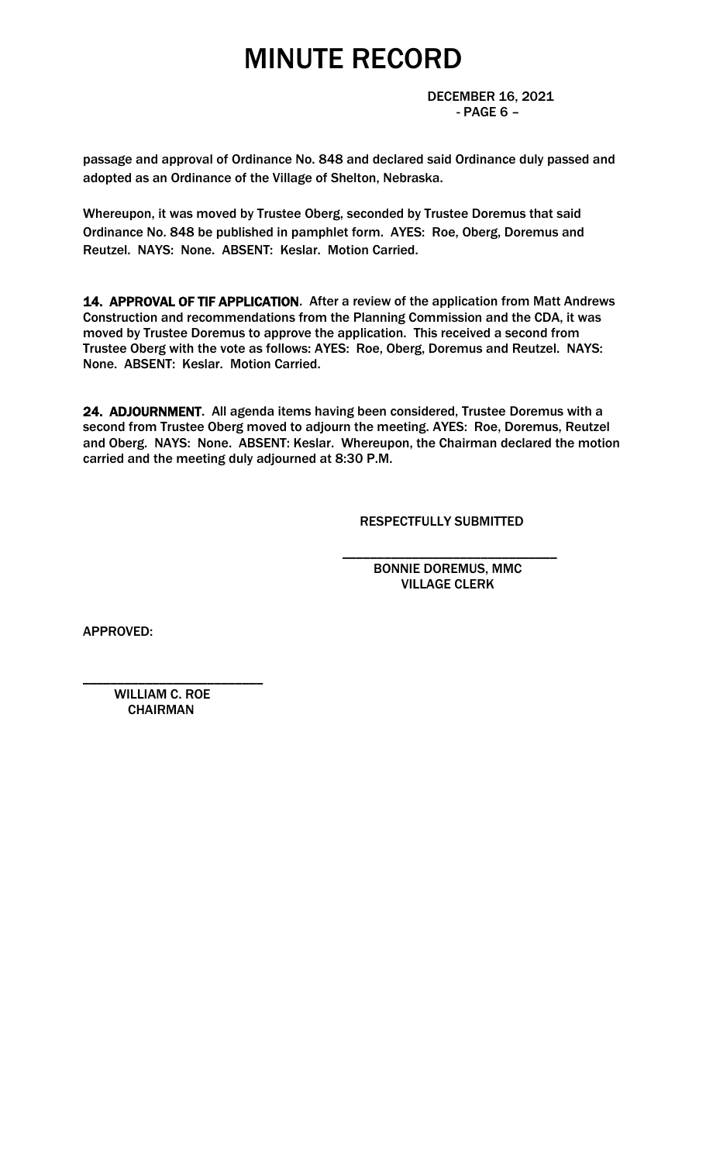DECEMBER 16, 2021 - PAGE 6 –

passage and approval of Ordinance No. 848 and declared said Ordinance duly passed and adopted as an Ordinance of the Village of Shelton, Nebraska.

Whereupon, it was moved by Trustee Oberg, seconded by Trustee Doremus that said Ordinance No. 848 be published in pamphlet form. AYES: Roe, Oberg, Doremus and Reutzel. NAYS: None. ABSENT: Keslar. Motion Carried.

14. APPROVAL OF TIF APPLICATION. After a review of the application from Matt Andrews Construction and recommendations from the Planning Commission and the CDA, it was moved by Trustee Doremus to approve the application. This received a second from Trustee Oberg with the vote as follows: AYES: Roe, Oberg, Doremus and Reutzel. NAYS: None. ABSENT: Keslar. Motion Carried.

24. ADJOURNMENT. All agenda items having been considered, Trustee Doremus with a second from Trustee Oberg moved to adjourn the meeting. AYES: Roe, Doremus, Reutzel and Oberg. NAYS: None. ABSENT: Keslar. Whereupon, the Chairman declared the motion carried and the meeting duly adjourned at 8:30 P.M.

 $\overline{\phantom{a}}$  , and the contract of the contract of the contract of the contract of the contract of the contract of the contract of the contract of the contract of the contract of the contract of the contract of the contrac

RESPECTFULLY SUBMITTED

 BONNIE DOREMUS, MMC VILLAGE CLERK

APPROVED:

 WILLIAM C. ROE **CHAIRMAN** 

\_\_\_\_\_\_\_\_\_\_\_\_\_\_\_\_\_\_\_\_\_\_\_\_\_\_